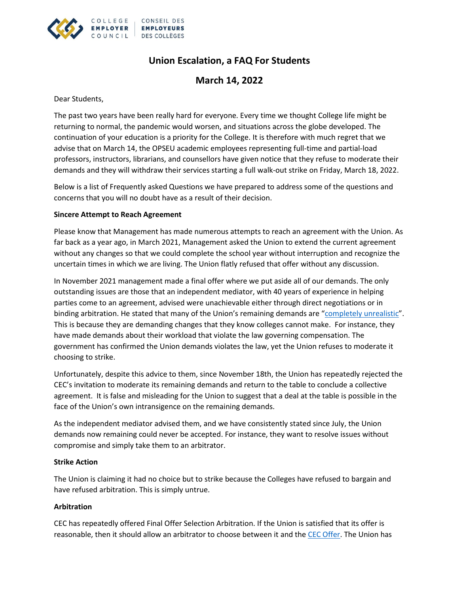

# **Union Escalation, a FAQ For Students**

**March 14, 2022**

Dear Students,

The past two years have been really hard for everyone. Every time we thought College life might be returning to normal, the pandemic would worsen, and situations across the globe developed. The continuation of your education is a priority for the College. It is therefore with much regret that we advise that on March 14, the OPSEU academic employees representing full-time and partial-load professors, instructors, librarians, and counsellors have given notice that they refuse to moderate their demands and they will withdraw their services starting a full walk-out strike on Friday, March 18, 2022.

Below is a list of Frequently asked Questions we have prepared to address some of the questions and concerns that you will no doubt have as a result of their decision.

# **Sincere Attempt to Reach Agreement**

Please know that Management has made numerous attempts to reach an agreement with the Union. As far back as a year ago, in March 2021, Management asked the Union to extend the current agreement without any changes so that we could complete the school year without interruption and recognize the uncertain times in which we are living. The Union flatly refused that offer without any discussion.

In November 2021 management made a final offer where we put aside all of our demands. The only outstanding issues are those that an independent mediator, with 40 years of experience in helping parties come to an agreement, advised were unachievable either through direct negotiations or in binding arbitration. He stated that many of the Union's remaining demands are "[completely unrealistic](https://cdn-ca.aglty.io/cec-website/Attachments/NewItems/bargaining/Final%20Report%20of%20the%20Mediator%20%20Colleges%20and%20OPSEU-%20October%2027%202021.pdf)". This is because they are demanding changes that they know colleges cannot make. For instance, they have made demands about their workload that violate the law governing compensation. The government has confirmed the Union demands violates the law, yet the Union refuses to moderate it choosing to strike.

Unfortunately, despite this advice to them, since November 18th, the Union has repeatedly rejected the CEC's invitation to moderate its remaining demands and return to the table to conclude a collective agreement. It is false and misleading for the Union to suggest that a deal at the table is possible in the face of the Union's own intransigence on the remaining demands.

As the independent mediator advised them, and we have consistently stated since July, the Union demands now remaining could never be accepted. For instance, they want to resolve issues without compromise and simply take them to an arbitrator.

# **Strike Action**

The Union is claiming it had no choice but to strike because the Colleges have refused to bargain and have refused arbitration. This is simply untrue.

# **Arbitration**

CEC has repeatedly offered Final Offer Selection Arbitration. If the Union is satisfied that its offer is reasonable, then it should allow an arbitrator to choose between it and the [CEC Offer.](https://www.collegeemployercouncil.ca/en/bargaining/Academic_Bargaining_2021_2022/employer-final-offer-caat-a-2021) The Union has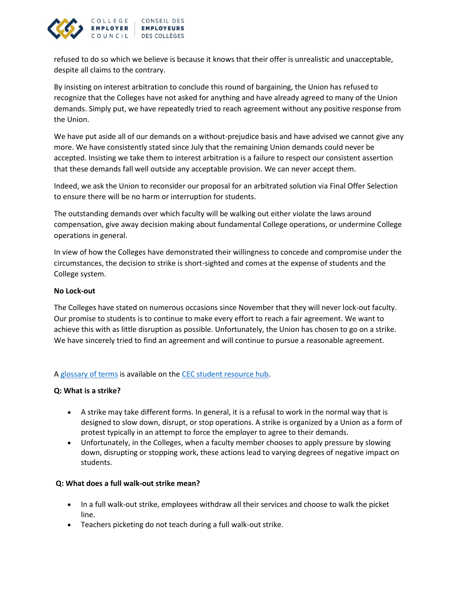

refused to do so which we believe is because it knows that their offer is unrealistic and unacceptable, despite all claims to the contrary.

By insisting on interest arbitration to conclude this round of bargaining, the Union has refused to recognize that the Colleges have not asked for anything and have already agreed to many of the Union demands. Simply put, we have repeatedly tried to reach agreement without any positive response from the Union.

We have put aside all of our demands on a without-prejudice basis and have advised we cannot give any more. We have consistently stated since July that the remaining Union demands could never be accepted. Insisting we take them to interest arbitration is a failure to respect our consistent assertion that these demands fall well outside any acceptable provision. We can never accept them.

Indeed, we ask the Union to reconsider our proposal for an arbitrated solution via Final Offer Selection to ensure there will be no harm or interruption for students.

The outstanding demands over which faculty will be walking out either violate the laws around compensation, give away decision making about fundamental College operations, or undermine College operations in general.

In view of how the Colleges have demonstrated their willingness to concede and compromise under the circumstances, the decision to strike is short-sighted and comes at the expense of students and the College system.

# **No Lock-out**

The Colleges have stated on numerous occasions since November that they will never lock-out faculty. Our promise to students is to continue to make every effort to reach a fair agreement. We want to achieve this with as little disruption as possible. Unfortunately, the Union has chosen to go on a strike. We have sincerely tried to find an agreement and will continue to pursue a reasonable agreement.

#### A [glossary of terms](https://www.collegeemployercouncil.ca/en/bargaining/glossary-of-terms) is available on th[e CEC student resource hub.](https://www.collegeemployercouncil.ca/en/bargaining/student-information)

#### **Q: What is a strike?**

- A strike may take different forms. In general, it is a refusal to work in the normal way that is designed to slow down, disrupt, or stop operations. A strike is organized by a Union as a form of protest typically in an attempt to force the employer to agree to their demands.
- Unfortunately, in the Colleges, when a faculty member chooses to apply pressure by slowing down, disrupting or stopping work, these actions lead to varying degrees of negative impact on students.

#### **Q: What does a full walk-out strike mean?**

- In a full walk-out strike, employees withdraw all their services and choose to walk the picket line.
- Teachers picketing do not teach during a full walk-out strike.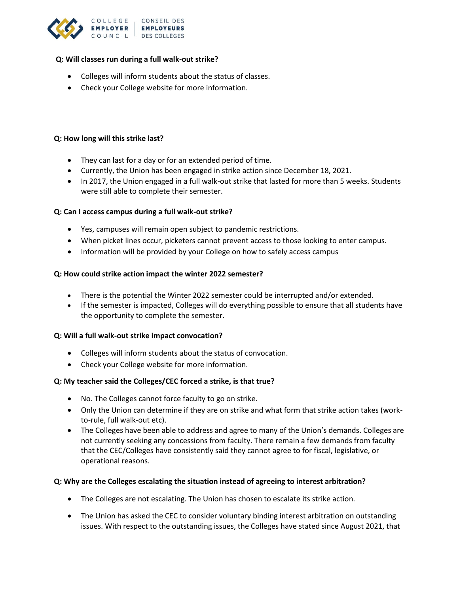

## **Q: Will classes run during a full walk-out strike?**

- Colleges will inform students about the status of classes.
- Check your College website for more information.

## **Q: How long will this strike last?**

- They can last for a day or for an extended period of time.
- Currently, the Union has been engaged in strike action since December 18, 2021.
- In 2017, the Union engaged in a full walk-out strike that lasted for more than 5 weeks. Students were still able to complete their semester.

### **Q: Can I access campus during a full walk-out strike?**

- Yes, campuses will remain open subject to pandemic restrictions.
- When picket lines occur, picketers cannot prevent access to those looking to enter campus.
- Information will be provided by your College on how to safely access campus

# **Q: How could strike action impact the winter 2022 semester?**

- There is the potential the Winter 2022 semester could be interrupted and/or extended.
- If the semester is impacted, Colleges will do everything possible to ensure that all students have the opportunity to complete the semester.

#### **Q: Will a full walk-out strike impact convocation?**

- Colleges will inform students about the status of convocation.
- Check your College website for more information.

# **Q: My teacher said the Colleges/CEC forced a strike, is that true?**

- No. The Colleges cannot force faculty to go on strike.
- Only the Union can determine if they are on strike and what form that strike action takes (workto-rule, full walk-out etc).
- The Colleges have been able to address and agree to many of the Union's demands. Colleges are not currently seeking any concessions from faculty. There remain a few demands from faculty that the CEC/Colleges have consistently said they cannot agree to for fiscal, legislative, or operational reasons.

#### **Q: Why are the Colleges escalating the situation instead of agreeing to interest arbitration?**

- The Colleges are not escalating. The Union has chosen to escalate its strike action.
- The Union has asked the CEC to consider voluntary binding interest arbitration on outstanding issues. With respect to the outstanding issues, the Colleges have stated since August 2021, that